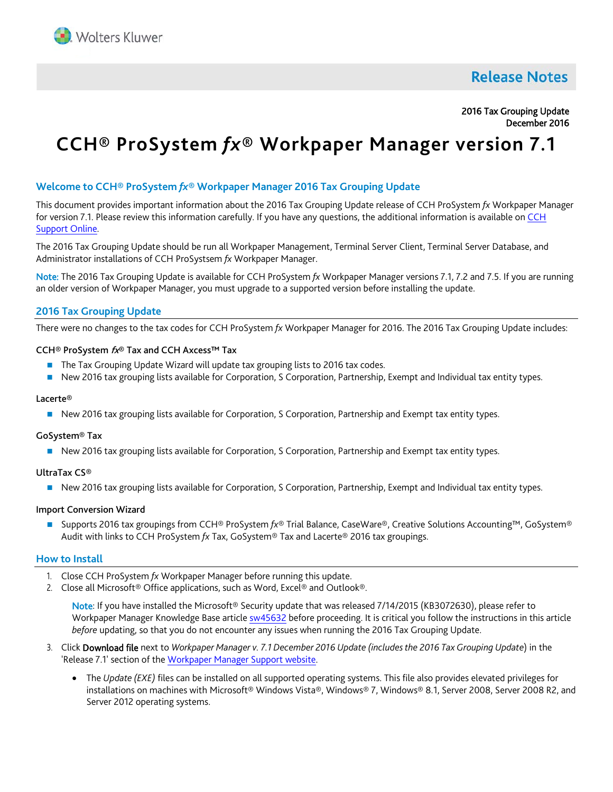

# **Release Notes**

# 2016 Tax Grouping Update December 2016

# **CCH® ProSystem** *fx***® Workpaper Manager version 7.1**

# **Welcome to CCH® ProSystem** *fx***® Workpaper Manager 2016 Tax Grouping Update**

This document provides important information about the 2016 Tax Grouping Update release of CCH ProSystem *fx* Workpaper Manager for version 7.1. Please review this information carefully. If you have any questions, the additional information is available on [CCH](https://support.cch.com/productsupport/productSupport.aspx?id=5)  [Support Online.](https://support.cch.com/productsupport/productSupport.aspx?id=5)

The 2016 Tax Grouping Update should be run all Workpaper Management, Terminal Server Client, Terminal Server Database, and Administrator installations of CCH ProSystsem *fx* Workpaper Manager.

Note: The 2016 Tax Grouping Update is available for CCH ProSystem *fx* Workpaper Manager versions 7.1, 7.2 and 7.5. If you are running an older version of Workpaper Manager, you must upgrade to a supported version before installing the update.

# **2016 Tax Grouping Update**

There were no changes to the tax codes for CCH ProSystem *fx* Workpaper Manager for 2016. The 2016 Tax Grouping Update includes:

#### CCH® ProSystem fx® Tax and CCH Axcess™ Tax

- The Tax Grouping Update Wizard will update tax grouping lists to 2016 tax codes.
- New 2016 tax grouping lists available for Corporation, S Corporation, Partnership, Exempt and Individual tax entity types.

#### Lacerte®

New 2016 tax grouping lists available for Corporation, S Corporation, Partnership and Exempt tax entity types.

# GoSystem® Tax

New 2016 tax grouping lists available for Corporation, S Corporation, Partnership and Exempt tax entity types.

# UltraTax CS®

New 2016 tax grouping lists available for Corporation, S Corporation, Partnership, Exempt and Individual tax entity types.

# Import Conversion Wizard

 Supports 2016 tax groupings from CCH® ProSystem *fx*® Trial Balance, CaseWare®, Creative Solutions Accounting™, GoSystem® Audit with links to CCH ProSystem *fx* Tax, GoSystem® Tax and Lacerte® 2016 tax groupings.

# **How to Install**

- 1. Close CCH ProSystem *fx* Workpaper Manager before running this update.
- 2. Close all Microsoft® Office applications, such as Word, Excel® and Outlook®.

Note: If you have installed the Microsoft® Security update that was released 7/14/2015 (KB3072630), please refer to Workpaper Manager Knowledge Base articl[e sw45632](https://support.cch.com/kb/solution.aspx/sw45632) before proceeding. It is critical you follow the instructions in this article *before* updating, so that you do not encounter any issues when running the 2016 Tax Grouping Update.

- 3. Click Download file next to *Workpaper Manager v. 7.1 December 2016 Update (includes the 2016 Tax Grouping Update*) in the 'Release 7.1' section of the [Workpaper Manager Support webs](https://support.cch.com/updates/workpapermanager/default.aspx)ite.
	- The *Update (EXE)* files can be installed on all supported operating systems. This file also provides elevated privileges for installations on machines with Microsoft® Windows Vista®, Windows® 7, Windows® 8.1, Server 2008, Server 2008 R2, and Server 2012 operating systems.